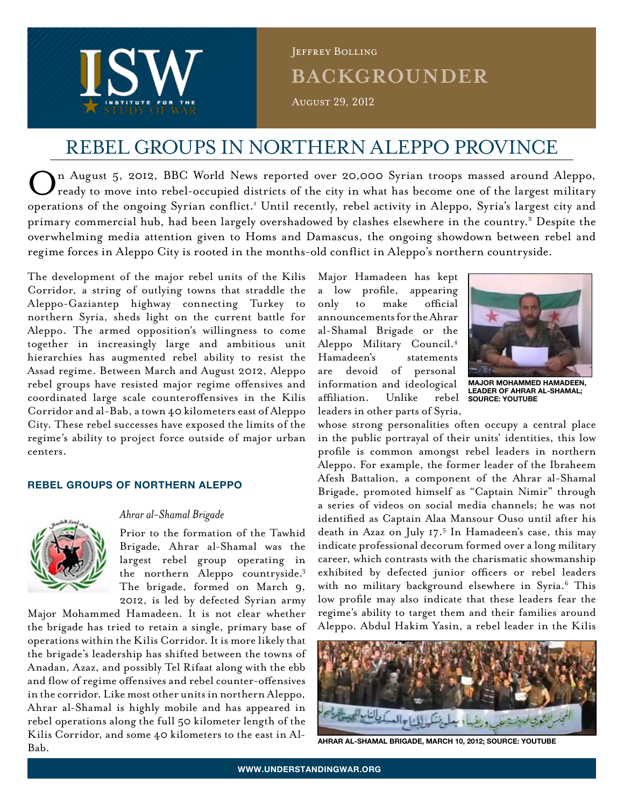

**BACKGROUNDER** August 29, 2012 Jeffrey Bolling

# rebel Groups in northern Aleppo Province

On August 5, 2012, BBC World News reported over 20,000 Syrian troops massed around Aleppo,<br>
ready to move into rebel-occupied districts of the city in what has become one of the largest military operations of the ongoing Syrian conflict.<sup>1</sup> Until recently, rebel activity in Aleppo, Syria's largest city and primary commercial hub, had been largely overshadowed by clashes elsewhere in the country.<sup>2</sup> Despite the overwhelming media attention given to Homs and Damascus, the ongoing showdown between rebel and regime forces in Aleppo City is rooted in the months-old conflict in Aleppo's northern countryside.

The development of the major rebel units of the Kilis Corridor, a string of outlying towns that straddle the Aleppo-Gaziantep highway connecting Turkey to northern Syria, sheds light on the current battle for Aleppo. The armed opposition's willingness to come together in increasingly large and ambitious unit hierarchies has augmented rebel ability to resist the Assad regime. Between March and August 2012, Aleppo rebel groups have resisted major regime offensives and coordinated large scale counteroffensives in the Kilis Corridor and al-Bab, a town 40 kilometers east of Aleppo City. These rebel successes have exposed the limits of the regime's ability to project force outside of major urban centers.

# **REBEL GROUPS OF NORTHERN ALEPPO**



## *Ahrar al-Shamal Brigade*

Prior to the formation of the Tawhid Brigade, Ahrar al-Shamal was the largest rebel group operating in the northern Aleppo countryside.3 The brigade, formed on March 9, 2012, is led by defected Syrian army

Major Mohammed Hamadeen. It is not clear whether the brigade has tried to retain a single, primary base of operations within the Kilis Corridor. It is more likely that the brigade's leadership has shifted between the towns of Anadan, Azaz, and possibly Tel Rifaat along with the ebb and flow of regime offensives and rebel counter-offensives in the corridor. Like most other units in northern Aleppo, Ahrar al-Shamal is highly mobile and has appeared in rebel operations along the full 50 kilometer length of the Kilis Corridor, and some 40 kilometers to the east in Al-Bab.

Major Hamadeen has kept a low profile, appearing only to make official announcements for the Ahrar al-Shamal Brigade or the Aleppo Military Council.4 Hamadeen's statements are devoid of personal information and ideological affiliation. Unlike rebel leaders in other parts of Syria,



**Major Mohammed Hamadeen, leader of Ahrar al-Shamal; Source: YouTube**

whose strong personalities often occupy a central place in the public portrayal of their units' identities, this low profile is common amongst rebel leaders in northern Aleppo. For example, the former leader of the Ibraheem Afesh Battalion, a component of the Ahrar al-Shamal Brigade, promoted himself as "Captain Nimir" through a series of videos on social media channels; he was not identified as Captain Alaa Mansour Ouso until after his death in Azaz on July 17.<sup>5</sup> In Hamadeen's case, this may indicate professional decorum formed over a long military career, which contrasts with the charismatic showmanship exhibited by defected junior officers or rebel leaders with no military background elsewhere in Syria.<sup>6</sup> This low profile may also indicate that these leaders fear the regime's ability to target them and their families around Aleppo. Abdul Hakim Yasin, a rebel leader in the Kilis



**Ahrar al-Shamal Brigade, March 10, 2012; Source: YouTube**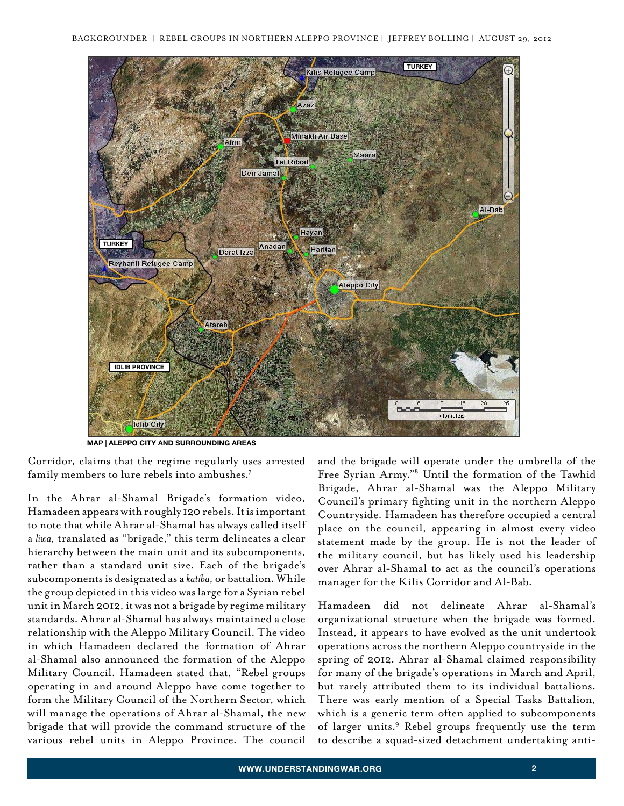

**Map | Aleppo City and surrounding areas**

Corridor, claims that the regime regularly uses arrested family members to lure rebels into ambushes.7

In the Ahrar al-Shamal Brigade's formation video, Hamadeen appears with roughly 120 rebels. It is important to note that while Ahrar al-Shamal has always called itself a *liwa*, translated as "brigade," this term delineates a clear hierarchy between the main unit and its subcomponents, rather than a standard unit size. Each of the brigade's subcomponents is designated as a *katiba*, or battalion. While the group depicted in this video was large for a Syrian rebel unit in March 2012, it was not a brigade by regime military standards. Ahrar al-Shamal has always maintained a close relationship with the Aleppo Military Council. The video in which Hamadeen declared the formation of Ahrar al-Shamal also announced the formation of the Aleppo Military Council. Hamadeen stated that, "Rebel groups operating in and around Aleppo have come together to form the Military Council of the Northern Sector, which will manage the operations of Ahrar al-Shamal, the new brigade that will provide the command structure of the various rebel units in Aleppo Province. The council

and the brigade will operate under the umbrella of the Free Syrian Army."8 Until the formation of the Tawhid Brigade, Ahrar al-Shamal was the Aleppo Military Council's primary fighting unit in the northern Aleppo Countryside. Hamadeen has therefore occupied a central place on the council, appearing in almost every video statement made by the group. He is not the leader of the military council, but has likely used his leadership over Ahrar al-Shamal to act as the council's operations manager for the Kilis Corridor and Al-Bab.

Hamadeen did not delineate Ahrar al-Shamal's organizational structure when the brigade was formed. Instead, it appears to have evolved as the unit undertook operations across the northern Aleppo countryside in the spring of 2012. Ahrar al-Shamal claimed responsibility for many of the brigade's operations in March and April, but rarely attributed them to its individual battalions. There was early mention of a Special Tasks Battalion, which is a generic term often applied to subcomponents of larger units.<sup>9</sup> Rebel groups frequently use the term to describe a squad-sized detachment undertaking anti-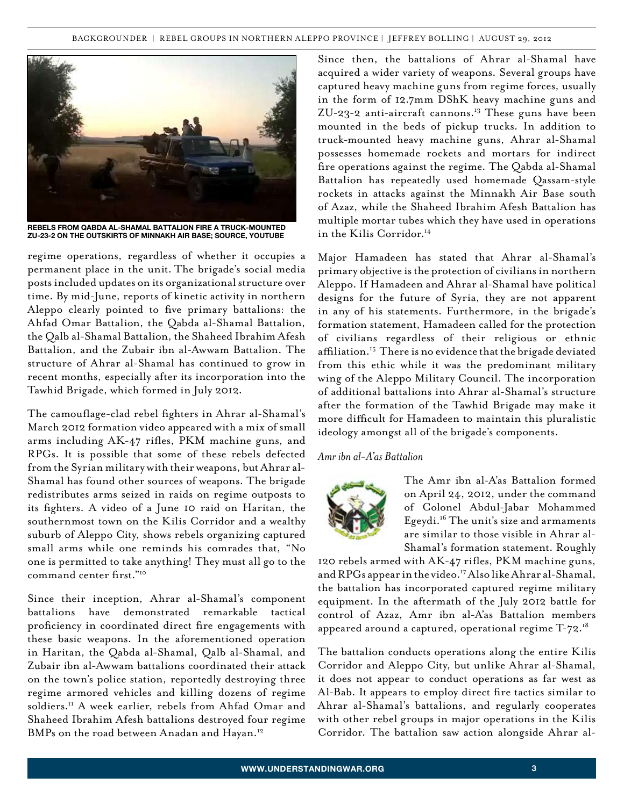

**Rebels from Qabda al-Shamal Battalion fire a truck-mounted ZU-23-2 on the outskirts of Minnakh Air Base; Source, YouTube**

regime operations, regardless of whether it occupies a permanent place in the unit. The brigade's social media posts included updates on its organizational structure over time. By mid-June, reports of kinetic activity in northern Aleppo clearly pointed to five primary battalions: the Ahfad Omar Battalion, the Qabda al-Shamal Battalion, the Qalb al-Shamal Battalion, the Shaheed Ibrahim Afesh Battalion, and the Zubair ibn al-Awwam Battalion. The structure of Ahrar al-Shamal has continued to grow in recent months, especially after its incorporation into the Tawhid Brigade, which formed in July 2012.

The camouflage-clad rebel fighters in Ahrar al-Shamal's March 2012 formation video appeared with a mix of small arms including AK-47 rifles, PKM machine guns, and RPGs. It is possible that some of these rebels defected from the Syrian military with their weapons, but Ahrar al-Shamal has found other sources of weapons. The brigade redistributes arms seized in raids on regime outposts to its fighters. A video of a June 10 raid on Haritan, the southernmost town on the Kilis Corridor and a wealthy suburb of Aleppo City, shows rebels organizing captured small arms while one reminds his comrades that, "No one is permitted to take anything! They must all go to the command center first."<sup>10</sup>

Since their inception, Ahrar al-Shamal's component battalions have demonstrated remarkable tactical proficiency in coordinated direct fire engagements with these basic weapons. In the aforementioned operation in Haritan, the Qabda al-Shamal, Qalb al-Shamal, and Zubair ibn al-Awwam battalions coordinated their attack on the town's police station, reportedly destroying three regime armored vehicles and killing dozens of regime soldiers.11 A week earlier, rebels from Ahfad Omar and Shaheed Ibrahim Afesh battalions destroyed four regime BMPs on the road between Anadan and Hayan.<sup>12</sup>

Since then, the battalions of Ahrar al-Shamal have acquired a wider variety of weapons. Several groups have captured heavy machine guns from regime forces, usually in the form of 12.7mm DShK heavy machine guns and  $ZU-23-2$  anti-aircraft cannons.<sup>13</sup> These guns have been mounted in the beds of pickup trucks. In addition to truck-mounted heavy machine guns, Ahrar al-Shamal possesses homemade rockets and mortars for indirect fire operations against the regime. The Qabda al-Shamal Battalion has repeatedly used homemade Qassam-style rockets in attacks against the Minnakh Air Base south of Azaz, while the Shaheed Ibrahim Afesh Battalion has multiple mortar tubes which they have used in operations in the Kilis Corridor.<sup>14</sup>

Major Hamadeen has stated that Ahrar al-Shamal's primary objective is the protection of civilians in northern Aleppo. If Hamadeen and Ahrar al-Shamal have political designs for the future of Syria, they are not apparent in any of his statements. Furthermore, in the brigade's formation statement, Hamadeen called for the protection of civilians regardless of their religious or ethnic affiliation.<sup>15</sup> There is no evidence that the brigade deviated from this ethic while it was the predominant military wing of the Aleppo Military Council. The incorporation of additional battalions into Ahrar al-Shamal's structure after the formation of the Tawhid Brigade may make it more difficult for Hamadeen to maintain this pluralistic ideology amongst all of the brigade's components.

# *Amr ibn al-A'as Battalion*



The Amr ibn al-A'as Battalion formed on April 24, 2012, under the command of Colonel Abdul-Jabar Mohammed Egeydi.16 The unit's size and armaments are similar to those visible in Ahrar al-Shamal's formation statement. Roughly

120 rebels armed with AK-47 rifles, PKM machine guns, and RPGs appear in the video.<sup>17</sup> Also like Ahrar al-Shamal, the battalion has incorporated captured regime military equipment. In the aftermath of the July 2012 battle for control of Azaz, Amr ibn al-A'as Battalion members appeared around a captured, operational regime  $T-72.^{18}$ 

The battalion conducts operations along the entire Kilis Corridor and Aleppo City, but unlike Ahrar al-Shamal, it does not appear to conduct operations as far west as Al-Bab. It appears to employ direct fire tactics similar to Ahrar al-Shamal's battalions, and regularly cooperates with other rebel groups in major operations in the Kilis Corridor. The battalion saw action alongside Ahrar al-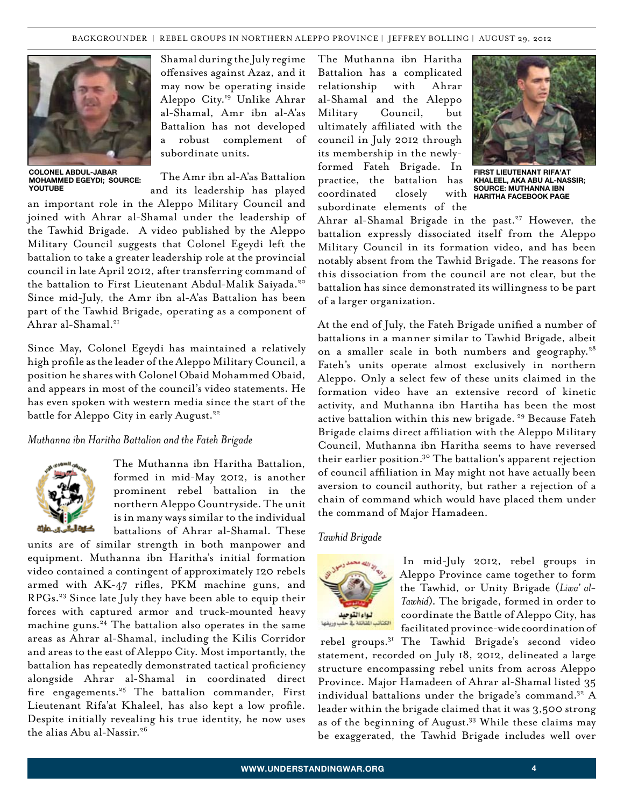

**Colonel Abdul-Jabar Mohammed Egeydi; Source: YouTube** 

Shamal during the July regime offensives against Azaz, and it may now be operating inside Aleppo City.19 Unlike Ahrar al-Shamal, Amr ibn al-A'as Battalion has not developed a robust complement of subordinate units.

The Amr ibn al-A'as Battalion and its leadership has played

an important role in the Aleppo Military Council and joined with Ahrar al-Shamal under the leadership of the Tawhid Brigade. A video published by the Aleppo Military Council suggests that Colonel Egeydi left the battalion to take a greater leadership role at the provincial council in late April 2012, after transferring command of the battalion to First Lieutenant Abdul-Malik Saiyada.<sup>20</sup> Since mid-July, the Amr ibn al-A'as Battalion has been part of the Tawhid Brigade, operating as a component of Ahrar al-Shamal.21

Since May, Colonel Egeydi has maintained a relatively high profile as the leader of the Aleppo Military Council, a position he shares with Colonel Obaid Mohammed Obaid, and appears in most of the council's video statements. He has even spoken with western media since the start of the battle for Aleppo City in early August.<sup>22</sup>

### *Muthanna ibn Haritha Battalion and the Fateh Brigade*



The Muthanna ibn Haritha Battalion, formed in mid-May 2012, is another prominent rebel battalion in the northern Aleppo Countryside. The unit is in many ways similar to the individual battalions of Ahrar al-Shamal. These

units are of similar strength in both manpower and equipment. Muthanna ibn Haritha's initial formation video contained a contingent of approximately 120 rebels armed with AK-47 rifles, PKM machine guns, and RPGs.23 Since late July they have been able to equip their forces with captured armor and truck-mounted heavy machine guns.<sup>24</sup> The battalion also operates in the same areas as Ahrar al-Shamal, including the Kilis Corridor and areas to the east of Aleppo City. Most importantly, the battalion has repeatedly demonstrated tactical proficiency alongside Ahrar al-Shamal in coordinated direct fire engagements.<sup>25</sup> The battalion commander, First Lieutenant Rifa'at Khaleel, has also kept a low profile. Despite initially revealing his true identity, he now uses the alias Abu al-Nassir.26

The Muthanna ibn Haritha Battalion has a complicated relationship with Ahrar al-Shamal and the Aleppo Military Council, but ultimately affiliated with the council in July 2012 through its membership in the newlyformed Fateh Brigade. In practice, the battalion has coordinated closely with subordinate elements of the



**First Lieutenant Rifa'at Khaleel, aka Abu al-Nassir; Source: Muthanna ibn Haritha Facebook Page**

Ahrar al-Shamal Brigade in the past.<sup>27</sup> However, the battalion expressly dissociated itself from the Aleppo Military Council in its formation video, and has been notably absent from the Tawhid Brigade. The reasons for this dissociation from the council are not clear, but the battalion has since demonstrated its willingness to be part of a larger organization.

At the end of July, the Fateh Brigade unified a number of battalions in a manner similar to Tawhid Brigade, albeit on a smaller scale in both numbers and geography.<sup>28</sup> Fateh's units operate almost exclusively in northern Aleppo. Only a select few of these units claimed in the formation video have an extensive record of kinetic activity, and Muthanna ibn Hartiha has been the most active battalion within this new brigade.<sup>29</sup> Because Fateh Brigade claims direct affiliation with the Aleppo Military Council, Muthanna ibn Haritha seems to have reversed their earlier position.30 The battalion's apparent rejection of council affiliation in May might not have actually been aversion to council authority, but rather a rejection of a chain of command which would have placed them under the command of Major Hamadeen.

#### *Tawhid Brigade*



In mid-July 2012, rebel groups in Aleppo Province came together to form the Tawhid, or Unity Brigade (*Liwa' al-Tawhid*). The brigade, formed in order to coordinate the Battle of Aleppo City, has facilitated province-wide coordination of

rebel groups.31 The Tawhid Brigade's second video statement, recorded on July 18, 2012, delineated a large structure encompassing rebel units from across Aleppo Province. Major Hamadeen of Ahrar al-Shamal listed 35 individual battalions under the brigade's command.<sup>32</sup> A leader within the brigade claimed that it was 3,500 strong as of the beginning of August.33 While these claims may be exaggerated, the Tawhid Brigade includes well over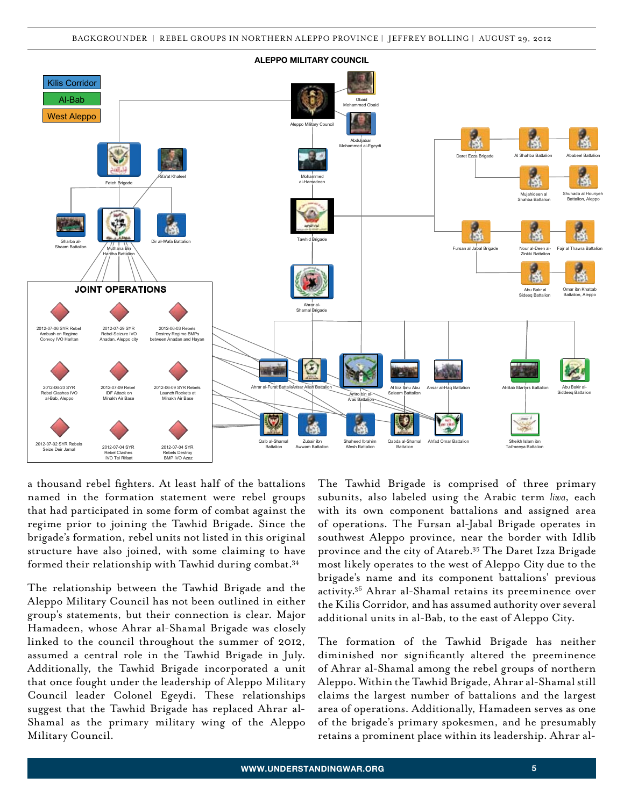

a thousand rebel fighters. At least half of the battalions named in the formation statement were rebel groups that had participated in some form of combat against the regime prior to joining the Tawhid Brigade. Since the brigade's formation, rebel units not listed in this original structure have also joined, with some claiming to have formed their relationship with Tawhid during combat.34

The relationship between the Tawhid Brigade and the Aleppo Military Council has not been outlined in either group's statements, but their connection is clear. Major Hamadeen, whose Ahrar al-Shamal Brigade was closely linked to the council throughout the summer of 2012, assumed a central role in the Tawhid Brigade in July. Additionally, the Tawhid Brigade incorporated a unit that once fought under the leadership of Aleppo Military Council leader Colonel Egeydi. These relationships suggest that the Tawhid Brigade has replaced Ahrar al-Shamal as the primary military wing of the Aleppo Military Council.

The Tawhid Brigade is comprised of three primary subunits, also labeled using the Arabic term *liwa*, each with its own component battalions and assigned area of operations. The Fursan al-Jabal Brigade operates in southwest Aleppo province, near the border with Idlib province and the city of Atareb.35 The Daret Izza Brigade most likely operates to the west of Aleppo City due to the brigade's name and its component battalions' previous activity.36 Ahrar al-Shamal retains its preeminence over the Kilis Corridor, and has assumed authority over several additional units in al-Bab, to the east of Aleppo City.

The formation of the Tawhid Brigade has neither diminished nor significantly altered the preeminence of Ahrar al-Shamal among the rebel groups of northern Aleppo. Within the Tawhid Brigade, Ahrar al-Shamal still claims the largest number of battalions and the largest area of operations. Additionally, Hamadeen serves as one of the brigade's primary spokesmen, and he presumably retains a prominent place within its leadership. Ahrar al-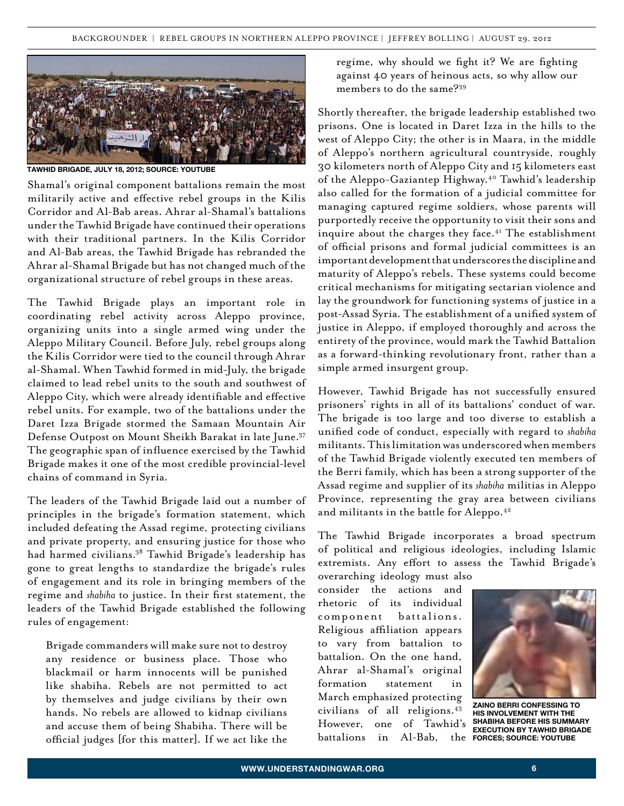

**Tawhid Brigade, July 18, 2012; Source: YouTube**

Shamal's original component battalions remain the most militarily active and effective rebel groups in the Kilis Corridor and Al-Bab areas. Ahrar al-Shamal's battalions under the Tawhid Brigade have continued their operations with their traditional partners. In the Kilis Corridor and Al-Bab areas, the Tawhid Brigade has rebranded the Ahrar al-Shamal Brigade but has not changed much of the organizational structure of rebel groups in these areas.

The Tawhid Brigade plays an important role in coordinating rebel activity across Aleppo province, organizing units into a single armed wing under the Aleppo Military Council. Before July, rebel groups along the Kilis Corridor were tied to the council through Ahrar al-Shamal. When Tawhid formed in mid-July, the brigade claimed to lead rebel units to the south and southwest of Aleppo City, which were already identifiable and effective rebel units. For example, two of the battalions under the Daret Izza Brigade stormed the Samaan Mountain Air Defense Outpost on Mount Sheikh Barakat in late June.37 The geographic span of influence exercised by the Tawhid Brigade makes it one of the most credible provincial-level chains of command in Syria.

The leaders of the Tawhid Brigade laid out a number of principles in the brigade's formation statement, which included defeating the Assad regime, protecting civilians and private property, and ensuring justice for those who had harmed civilians.38 Tawhid Brigade's leadership has gone to great lengths to standardize the brigade's rules of engagement and its role in bringing members of the regime and *shabiha* to justice. In their first statement, the leaders of the Tawhid Brigade established the following rules of engagement:

Brigade commanders will make sure not to destroy any residence or business place. Those who blackmail or harm innocents will be punished like shabiha. Rebels are not permitted to act by themselves and judge civilians by their own hands. No rebels are allowed to kidnap civilians and accuse them of being Shabiha. There will be official judges [for this matter]. If we act like the

regime, why should we fight it? We are fighting against 40 years of heinous acts, so why allow our members to do the same?<sup>39</sup>

Shortly thereafter, the brigade leadership established two prisons. One is located in Daret Izza in the hills to the west of Aleppo City; the other is in Maara, in the middle of Aleppo's northern agricultural countryside, roughly 30 kilometers north of Aleppo City and 15 kilometers east of the Aleppo-Gaziantep Highway.40 Tawhid's leadership also called for the formation of a judicial committee for managing captured regime soldiers, whose parents will purportedly receive the opportunity to visit their sons and inquire about the charges they face. $4I$  The establishment of official prisons and formal judicial committees is an important development that underscores the discipline and maturity of Aleppo's rebels. These systems could become critical mechanisms for mitigating sectarian violence and lay the groundwork for functioning systems of justice in a post-Assad Syria. The establishment of a unified system of justice in Aleppo, if employed thoroughly and across the entirety of the province, would mark the Tawhid Battalion as a forward-thinking revolutionary front, rather than a simple armed insurgent group.

However, Tawhid Brigade has not successfully ensured prisoners' rights in all of its battalions' conduct of war. The brigade is too large and too diverse to establish a unified code of conduct, especially with regard to *shabiha* militants. This limitation was underscored when members of the Tawhid Brigade violently executed ten members of the Berri family, which has been a strong supporter of the Assad regime and supplier of its *shabiha* militias in Aleppo Province, representing the gray area between civilians and militants in the battle for Aleppo.<sup>42</sup>

The Tawhid Brigade incorporates a broad spectrum of political and religious ideologies, including Islamic extremists. Any effort to assess the Tawhid Brigade's overarching ideology must also

consider the actions and rhetoric of its individual component battalions. Religious affiliation appears to vary from battalion to battalion. On the one hand, Ahrar al-Shamal's original formation statement in March emphasized protecting civilians of all religions.43 However, one of Tawhid's battalions in Al-Bab, the



**Zaino Berri confessing to his involvement with the shabiha before his summary execution by Tawhid Brigade forces; Source: YouTube**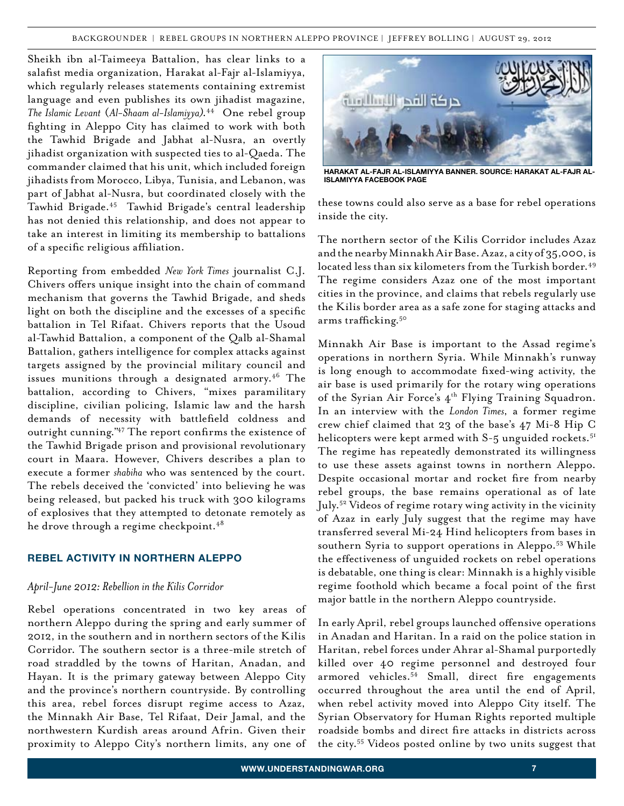Sheikh ibn al-Taimeeya Battalion, has clear links to a salafist media organization, Harakat al-Fajr al-Islamiyya, which regularly releases statements containing extremist language and even publishes its own jihadist magazine, *The Islamic Levant* (*Al-Shaam al-Islamiyya)*. 44 One rebel group fighting in Aleppo City has claimed to work with both the Tawhid Brigade and Jabhat al-Nusra, an overtly jihadist organization with suspected ties to al-Qaeda. The commander claimed that his unit, which included foreign jihadists from Morocco, Libya, Tunisia, and Lebanon, was part of Jabhat al-Nusra, but coordinated closely with the Tawhid Brigade.45 Tawhid Brigade's central leadership has not denied this relationship, and does not appear to take an interest in limiting its membership to battalions of a specific religious affiliation.

Reporting from embedded *New York Times* journalist C.J. Chivers offers unique insight into the chain of command mechanism that governs the Tawhid Brigade, and sheds light on both the discipline and the excesses of a specific battalion in Tel Rifaat. Chivers reports that the Usoud al-Tawhid Battalion, a component of the Qalb al-Shamal Battalion, gathers intelligence for complex attacks against targets assigned by the provincial military council and issues munitions through a designated armory. $46$  The battalion, according to Chivers, "mixes paramilitary discipline, civilian policing, Islamic law and the harsh demands of necessity with battlefield coldness and outright cunning."47 The report confirms the existence of the Tawhid Brigade prison and provisional revolutionary court in Maara. However, Chivers describes a plan to execute a former *shabiha* who was sentenced by the court. The rebels deceived the 'convicted' into believing he was being released, but packed his truck with 300 kilograms of explosives that they attempted to detonate remotely as he drove through a regime checkpoint. $48$ 

## **REBEL ACTIVITY IN NORTHERN ALEPPO**

## *April-June 2012: Rebellion in the Kilis Corridor*

Rebel operations concentrated in two key areas of northern Aleppo during the spring and early summer of 2012, in the southern and in northern sectors of the Kilis Corridor. The southern sector is a three-mile stretch of road straddled by the towns of Haritan, Anadan, and Hayan. It is the primary gateway between Aleppo City and the province's northern countryside. By controlling this area, rebel forces disrupt regime access to Azaz, the Minnakh Air Base, Tel Rifaat, Deir Jamal, and the northwestern Kurdish areas around Afrin. Given their proximity to Aleppo City's northern limits, any one of



**Harakat al-Fajr al-Islamiyya Banner. Source: Harakat al-Fajr al-Islamiyya Facebook Page**

these towns could also serve as a base for rebel operations inside the city.

The northern sector of the Kilis Corridor includes Azaz and the nearby Minnakh Air Base. Azaz, a city of 35,000, is located less than six kilometers from the Turkish border.<sup>49</sup> The regime considers Azaz one of the most important cities in the province, and claims that rebels regularly use the Kilis border area as a safe zone for staging attacks and arms trafficking.<sup>50</sup>

Minnakh Air Base is important to the Assad regime's operations in northern Syria. While Minnakh's runway is long enough to accommodate fixed-wing activity, the air base is used primarily for the rotary wing operations of the Syrian Air Force's 4<sup>th</sup> Flying Training Squadron. In an interview with the *London Times*, a former regime crew chief claimed that 23 of the base's 47 Mi-8 Hip C helicopters were kept armed with  $S-5$  unguided rockets.<sup>51</sup> The regime has repeatedly demonstrated its willingness to use these assets against towns in northern Aleppo. Despite occasional mortar and rocket fire from nearby rebel groups, the base remains operational as of late July.52 Videos of regime rotary wing activity in the vicinity of Azaz in early July suggest that the regime may have transferred several Mi-24 Hind helicopters from bases in southern Syria to support operations in Aleppo.<sup>53</sup> While the effectiveness of unguided rockets on rebel operations is debatable, one thing is clear: Minnakh is a highly visible regime foothold which became a focal point of the first major battle in the northern Aleppo countryside.

In early April, rebel groups launched offensive operations in Anadan and Haritan. In a raid on the police station in Haritan, rebel forces under Ahrar al-Shamal purportedly killed over 40 regime personnel and destroyed four armored vehicles.<sup>54</sup> Small, direct fire engagements occurred throughout the area until the end of April, when rebel activity moved into Aleppo City itself. The Syrian Observatory for Human Rights reported multiple roadside bombs and direct fire attacks in districts across the city.55 Videos posted online by two units suggest that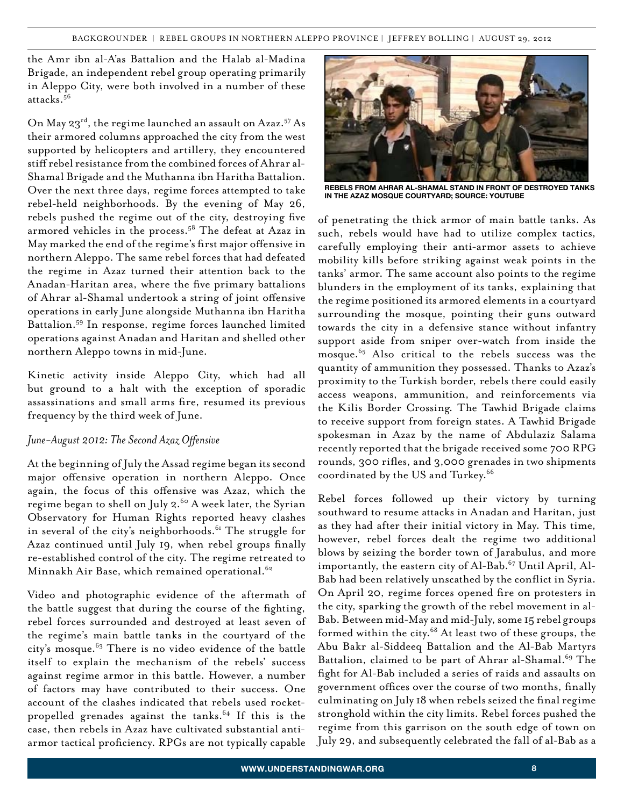the Amr ibn al-A'as Battalion and the Halab al-Madina Brigade, an independent rebel group operating primarily in Aleppo City, were both involved in a number of these attacks.56

On May  $23^{\text{rd}}$ , the regime launched an assault on Azaz.<sup>57</sup> As their armored columns approached the city from the west supported by helicopters and artillery, they encountered stiff rebel resistance from the combined forces of Ahrar al-Shamal Brigade and the Muthanna ibn Haritha Battalion. Over the next three days, regime forces attempted to take rebel-held neighborhoods. By the evening of May 26, rebels pushed the regime out of the city, destroying five armored vehicles in the process.58 The defeat at Azaz in May marked the end of the regime's first major offensive in northern Aleppo. The same rebel forces that had defeated the regime in Azaz turned their attention back to the Anadan-Haritan area, where the five primary battalions of Ahrar al-Shamal undertook a string of joint offensive operations in early June alongside Muthanna ibn Haritha Battalion.59 In response, regime forces launched limited operations against Anadan and Haritan and shelled other northern Aleppo towns in mid-June.

Kinetic activity inside Aleppo City, which had all but ground to a halt with the exception of sporadic assassinations and small arms fire, resumed its previous frequency by the third week of June.

# *June-August 2012: The Second Azaz Offensive*

At the beginning of July the Assad regime began its second major offensive operation in northern Aleppo. Once again, the focus of this offensive was Azaz, which the regime began to shell on July 2.<sup>60</sup> A week later, the Syrian Observatory for Human Rights reported heavy clashes in several of the city's neighborhoods. $61$  The struggle for Azaz continued until July 19, when rebel groups finally re-established control of the city. The regime retreated to Minnakh Air Base, which remained operational.<sup>62</sup>

Video and photographic evidence of the aftermath of the battle suggest that during the course of the fighting, rebel forces surrounded and destroyed at least seven of the regime's main battle tanks in the courtyard of the city's mosque.63 There is no video evidence of the battle itself to explain the mechanism of the rebels' success against regime armor in this battle. However, a number of factors may have contributed to their success. One account of the clashes indicated that rebels used rocketpropelled grenades against the  $tanhes.<sup>64</sup>$  If this is the case, then rebels in Azaz have cultivated substantial antiarmor tactical proficiency. RPGs are not typically capable



**Rebels from Ahrar al-Shamal stand in front of destroyed tanks in the Azaz mosque courtyard; Source: YouTube**

of penetrating the thick armor of main battle tanks. As such, rebels would have had to utilize complex tactics, carefully employing their anti-armor assets to achieve mobility kills before striking against weak points in the tanks' armor. The same account also points to the regime blunders in the employment of its tanks, explaining that the regime positioned its armored elements in a courtyard surrounding the mosque, pointing their guns outward towards the city in a defensive stance without infantry support aside from sniper over-watch from inside the mosque.65 Also critical to the rebels success was the quantity of ammunition they possessed. Thanks to Azaz's proximity to the Turkish border, rebels there could easily access weapons, ammunition, and reinforcements via the Kilis Border Crossing. The Tawhid Brigade claims to receive support from foreign states. A Tawhid Brigade spokesman in Azaz by the name of Abdulaziz Salama recently reported that the brigade received some 700 RPG rounds, 300 rifles, and 3,000 grenades in two shipments coordinated by the US and Turkey.66

Rebel forces followed up their victory by turning southward to resume attacks in Anadan and Haritan, just as they had after their initial victory in May. This time, however, rebel forces dealt the regime two additional blows by seizing the border town of Jarabulus, and more importantly, the eastern city of Al-Bab.<sup>67</sup> Until April, Al-Bab had been relatively unscathed by the conflict in Syria. On April 20, regime forces opened fire on protesters in the city, sparking the growth of the rebel movement in al-Bab. Between mid-May and mid-July, some 15 rebel groups formed within the city.<sup>68</sup> At least two of these groups, the Abu Bakr al-Siddeeq Battalion and the Al-Bab Martyrs Battalion, claimed to be part of Ahrar al-Shamal.<sup>69</sup> The fight for Al-Bab included a series of raids and assaults on government offices over the course of two months, finally culminating on July 18 when rebels seized the final regime stronghold within the city limits. Rebel forces pushed the regime from this garrison on the south edge of town on July 29, and subsequently celebrated the fall of al-Bab as a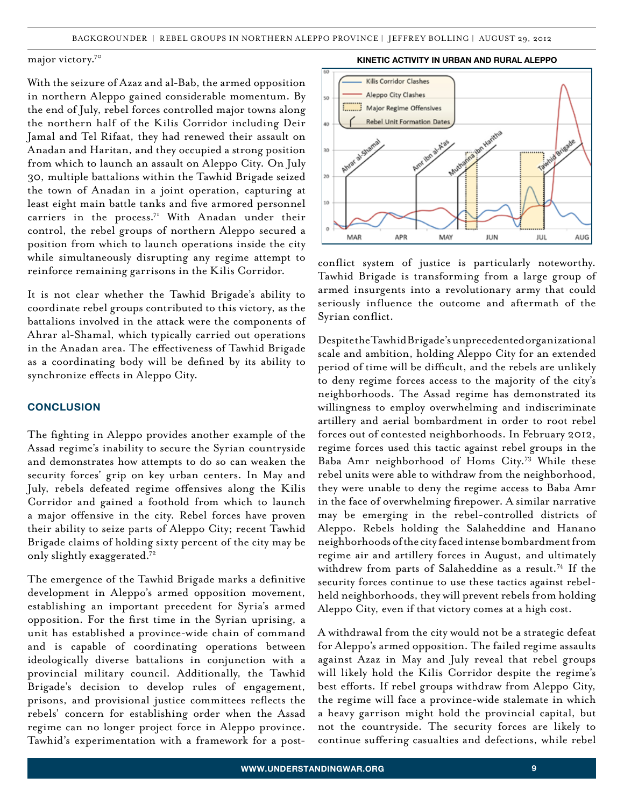#### major victory.<sup>70</sup>

With the seizure of Azaz and al-Bab, the armed opposition in northern Aleppo gained considerable momentum. By the end of July, rebel forces controlled major towns along the northern half of the Kilis Corridor including Deir Jamal and Tel Rifaat, they had renewed their assault on Anadan and Haritan, and they occupied a strong position from which to launch an assault on Aleppo City. On July 30, multiple battalions within the Tawhid Brigade seized the town of Anadan in a joint operation, capturing at least eight main battle tanks and five armored personnel carriers in the process.<sup>71</sup> With Anadan under their control, the rebel groups of northern Aleppo secured a position from which to launch operations inside the city while simultaneously disrupting any regime attempt to reinforce remaining garrisons in the Kilis Corridor.

It is not clear whether the Tawhid Brigade's ability to coordinate rebel groups contributed to this victory, as the battalions involved in the attack were the components of Ahrar al-Shamal, which typically carried out operations in the Anadan area. The effectiveness of Tawhid Brigade as a coordinating body will be defined by its ability to synchronize effects in Aleppo City.

## **CONCLUSION**

The fighting in Aleppo provides another example of the Assad regime's inability to secure the Syrian countryside and demonstrates how attempts to do so can weaken the security forces' grip on key urban centers. In May and July, rebels defeated regime offensives along the Kilis Corridor and gained a foothold from which to launch a major offensive in the city. Rebel forces have proven their ability to seize parts of Aleppo City; recent Tawhid Brigade claims of holding sixty percent of the city may be only slightly exaggerated.72

The emergence of the Tawhid Brigade marks a definitive development in Aleppo's armed opposition movement, establishing an important precedent for Syria's armed opposition. For the first time in the Syrian uprising, a unit has established a province-wide chain of command and is capable of coordinating operations between ideologically diverse battalions in conjunction with a provincial military council. Additionally, the Tawhid Brigade's decision to develop rules of engagement, prisons, and provisional justice committees reflects the rebels' concern for establishing order when the Assad regime can no longer project force in Aleppo province. Tawhid's experimentation with a framework for a post-





conflict system of justice is particularly noteworthy. Tawhid Brigade is transforming from a large group of armed insurgents into a revolutionary army that could seriously influence the outcome and aftermath of the Syrian conflict.

Despite the Tawhid Brigade's unprecedented organizational scale and ambition, holding Aleppo City for an extended period of time will be difficult, and the rebels are unlikely to deny regime forces access to the majority of the city's neighborhoods. The Assad regime has demonstrated its willingness to employ overwhelming and indiscriminate artillery and aerial bombardment in order to root rebel forces out of contested neighborhoods. In February 2012, regime forces used this tactic against rebel groups in the Baba Amr neighborhood of Homs City.73 While these rebel units were able to withdraw from the neighborhood, they were unable to deny the regime access to Baba Amr in the face of overwhelming firepower. A similar narrative may be emerging in the rebel-controlled districts of Aleppo. Rebels holding the Salaheddine and Hanano neighborhoods of the city faced intense bombardment from regime air and artillery forces in August, and ultimately withdrew from parts of Salaheddine as a result.<sup>74</sup> If the security forces continue to use these tactics against rebelheld neighborhoods, they will prevent rebels from holding Aleppo City, even if that victory comes at a high cost.

A withdrawal from the city would not be a strategic defeat for Aleppo's armed opposition. The failed regime assaults against Azaz in May and July reveal that rebel groups will likely hold the Kilis Corridor despite the regime's best efforts. If rebel groups withdraw from Aleppo City, the regime will face a province-wide stalemate in which a heavy garrison might hold the provincial capital, but not the countryside. The security forces are likely to continue suffering casualties and defections, while rebel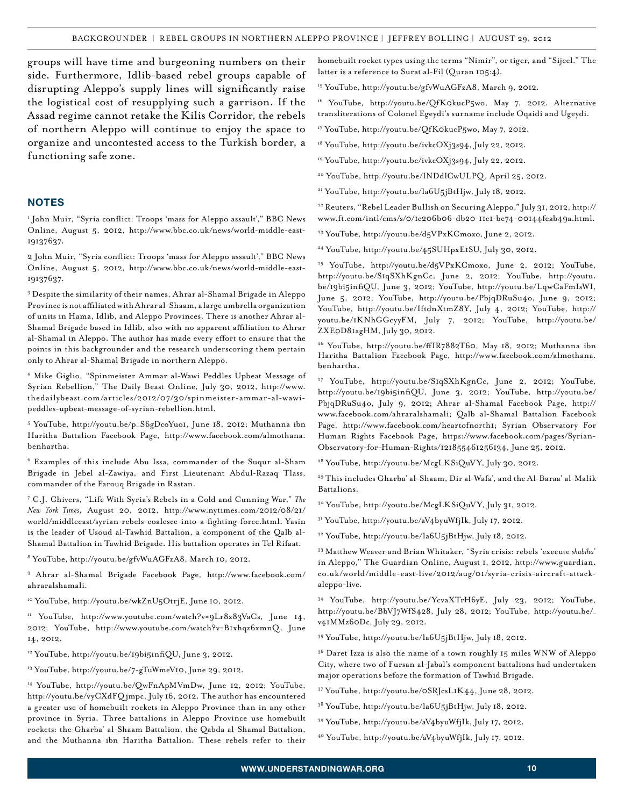groups will have time and burgeoning numbers on their side. Furthermore, Idlib-based rebel groups capable of disrupting Aleppo's supply lines will significantly raise the logistical cost of resupplying such a garrison. If the Assad regime cannot retake the Kilis Corridor, the rebels of northern Aleppo will continue to enjoy the space to organize and uncontested access to the Turkish border, a functioning safe zone.

## **NOTES**

1 John Muir, "Syria conflict: Troops 'mass for Aleppo assault'," BBC News Online, August 5, 2012, http://www.bbc.co.uk/news/world-middle-east-19137637.

2 John Muir, "Syria conflict: Troops 'mass for Aleppo assault'," BBC News Online, August 5, 2012, http://www.bbc.co.uk/news/world-middle-east-19137637.

3 Despite the similarity of their names, Ahrar al-Shamal Brigade in Aleppo Province is not affiliated with Ahrar al-Shaam, a large umbrella organization of units in Hama, Idlib, and Aleppo Provinces. There is another Ahrar al-Shamal Brigade based in Idlib, also with no apparent affiliation to Ahrar al-Shamal in Aleppo. The author has made every effort to ensure that the points in this backgrounder and the research underscoring them pertain only to Ahrar al-Shamal Brigade in northern Aleppo.

4 Mike Giglio, "Spinmeister Ammar al-Wawi Peddles Upbeat Message of Syrian Rebellion," The Daily Beast Online, July 30, 2012, http://www. thedailybeast.com/articles/2012/07/30/spinmeister-ammar-al-wawipeddles-upbeat-message-of-syrian-rebellion.html.

<sup>5</sup> YouTube, http://youtu.be/p\_S6gDcoYuo1, June 18, 2012; Muthanna ibn Haritha Battalion Facebook Page, http://www.facebook.com/almothana. benhartha.

<sup>6</sup> Examples of this include Abu Issa, commander of the Suqur al-Sham Brigade in Jebel al-Zawiya, and First Lieutenant Abdul-Razaq Tlass, commander of the Farouq Brigade in Rastan.

7 C.J. Chivers, "Life With Syria's Rebels in a Cold and Cunning War," *The New York Times*, August 20, 2012, http://www.nytimes.com/2012/08/21/ world/middleeast/syrian-rebels-coalesce-into-a-fighting-force.html. Yasin is the leader of Usoud al-Tawhid Battalion, a component of the Qalb al-Shamal Battalion in Tawhid Brigade. His battalion operates in Tel Rifaat.

8 YouTube, http://youtu.be/gfvWuAGFzA8, March 10, 2012.

9 Ahrar al-Shamal Brigade Facebook Page, http://www.facebook.com/ ahraralshamali.

<sup>10</sup> YouTube, http://youtu.be/wkZnU5OtrjE, June 10, 2012.

11 YouTube, http://www.youtube.com/watch?v=9Lr8x83VaCs, June 14, 2012; YouTube, http://www.youtube.com/watch?v=B1xhqz6xmnQ, June 14, 2012.

<sup>12</sup> YouTube, http://youtu.be/19bi5infiQU, June 3, 2012.

13 YouTube, http://youtu.be/7-gTuWmeV10, June 29, 2012.

14 YouTube, http://youtu.be/QwFnApMVmDw, June 12, 2012; YouTube, http://youtu.be/vyCXdFQ jmpc, July 16, 2012. The author has encountered a greater use of homebuilt rockets in Aleppo Province than in any other province in Syria. Three battalions in Aleppo Province use homebuilt rockets: the Gharba' al-Shaam Battalion, the Qabda al-Shamal Battalion, and the Muthanna ibn Haritha Battalion. These rebels refer to their

homebuilt rocket types using the terms "Nimir", or tiger, and "Sijeel." The latter is a reference to Surat al-Fil (Quran 105:4).

15 YouTube, http://youtu.be/gfvWuAGFzA8, March 9, 2012.

16 YouTube, http://youtu.be/QfK0kucP5wo, May 7, 2012. Alternative transliterations of Colonel Egeydi's surname include Oqaidi and Ugeydi.

17 YouTube, http://youtu.be/QfK0kucP5wo, May 7, 2012.

<sup>18</sup> YouTube, http://youtu.be/ivkcOXj3s94, July 22, 2012.

<sup>19</sup> YouTube, http://youtu.be/ivkcOXj3s94, July 22, 2012.

20 YouTube, http://youtu.be/lNDdlCwULPQ, April 25, 2012.

21 YouTube, http://youtu.be/la6U5jBtHjw, July 18, 2012.

<sup>22</sup> Reuters, "Rebel Leader Bullish on Securing Aleppo," July 31, 2012, http:// www.ft.com/intl/cms/s/0/1c206b06-db20-11e1-be74-00144feab49a.html.

23 YouTube, http://youtu.be/d5VPxKCmoxo, June 2, 2012.

24 YouTube, http://youtu.be/45SUHpxE1SU, July 30, 2012.

25 YouTube, http://youtu.be/d5VPxKCmoxo, June 2, 2012; YouTube, http://youtu.be/S1qSXhKgnCc, June 2, 2012; YouTube, http://youtu. be/19bi5infiQU, June 3, 2012; YouTube, http://youtu.be/LqwCaFmIsWI, June 5, 2012; YouTube, http://youtu.be/PbjqDRuSu4o, June 9, 2012; YouTube, http://youtu.be/IftdnXtmZ8Y, July 4, 2012; YouTube, http:// youtu.be/1KNhGGcyyFM, July 7, 2012; YouTube, http://youtu.be/ ZXE0D81agHM, July 30, 2012.

<sup>26</sup> YouTube, http://youtu.be/ffIR7882T60, May 18, 2012; Muthanna ibn Haritha Battalion Facebook Page, http://www.facebook.com/almothana. benhartha.

27 YouTube, http://youtu.be/S1qSXhKgnCc, June 2, 2012; YouTube, http://youtu.be/19bi5infiQU, June 3, 2012; YouTube, http://youtu.be/ PbjqDRuSu4o, July 9, 2012; Ahrar al-Shamal Facebook Page, http:// www.facebook.com/ahraralshamali; Qalb al-Shamal Battalion Facebook Page, http://www.facebook.com/heartofnorth1; Syrian Observatory For Human Rights Facebook Page, https://www.facebook.com/pages/Syrian-Observatory-for-Human-Rights/121855461256134, June 25, 2012.

28 YouTube, http://youtu.be/McgLKSiQuVY, July 30, 2012.

29 This includes Gharba' al-Shaam, Dir al-Wafa', and the Al-Baraa' al-Malik Battalions.

30 YouTube, http://youtu.be/McgLKSiQuVY, July 31, 2012.

31 YouTube, http://youtu.be/aV4byuWfjIk, July 17, 2012.

32 YouTube, http://youtu.be/la6U5jBtHjw, July 18, 2012.

<sup>33</sup> Matthew Weaver and Brian Whitaker, "Syria crisis: rebels 'execute *shabiha*' in Aleppo," The Guardian Online, August 1, 2012, http://www.guardian. co.uk/world/middle-east-live/2012/aug/01/syria-crisis-aircraft-attackaleppo-live.

34 YouTube, http://youtu.be/YcvaXTrH6yE, July 23, 2012; YouTube, http://youtu.be/BbVJ7WfS428, July 28, 2012; YouTube, http://youtu.be/\_ v41MMz60Dc, July 29, 2012.

35 YouTube, http://youtu.be/la6U5jBtHjw, July 18, 2012.

 $36$  Daret Izza is also the name of a town roughly 15 miles WNW of Aleppo City, where two of Fursan al-Jabal's component battalions had undertaken major operations before the formation of Tawhid Brigade.

- 37 YouTube, http://youtu.be/0SRJcsL1K44, June 28, 2012.
- 38 YouTube, http://youtu.be/la6U5jBtHjw, July 18, 2012.
- 39 YouTube, http://youtu.be/aV4byuWfjIk, July 17, 2012.
- 40 YouTube, http://youtu.be/aV4byuWfjIk, July 17, 2012.